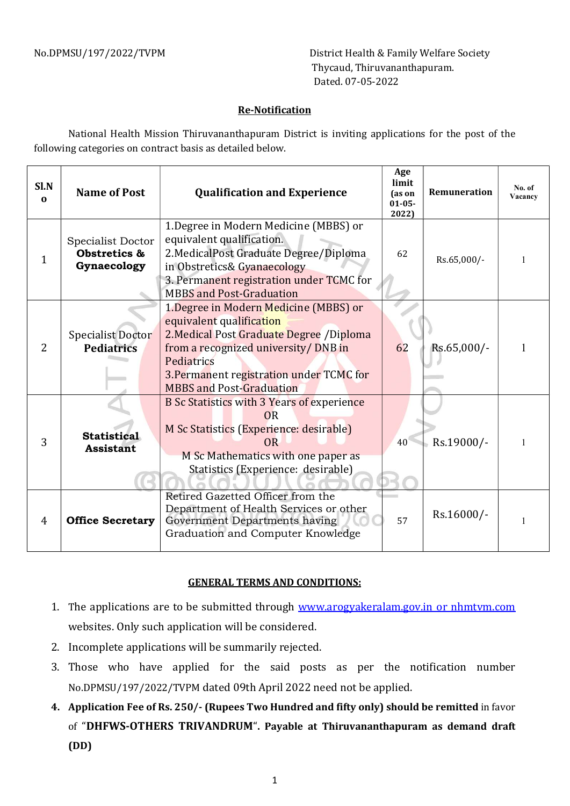No.DPMSU/197/2022/TVPM District Health & Family Welfare Society Thycaud, Thiruvananthapuram. Dated. 07-05-2022

## Re-Notification

National Health Mission Thiruvananthapuram District is inviting applications for the post of the following categories on contract basis as detailed below.

| Sl.N<br>$\mathbf{0}$ | <b>Name of Post</b>                              | <b>Qualification and Experience</b>                                                                                                                                                                                                                  | Age<br>limit<br>(as on<br>$01 - 05 -$<br>2022) | Remuneration | No. of<br>Vacancy |
|----------------------|--------------------------------------------------|------------------------------------------------------------------------------------------------------------------------------------------------------------------------------------------------------------------------------------------------------|------------------------------------------------|--------------|-------------------|
| 1                    | Specialist Doctor<br>Obstretics &<br>Gynaecology | 1. Degree in Modern Medicine (MBBS) or<br>equivalent qualification.<br>2. Medical Post Graduate Degree/Diploma<br>in Obstretics& Gyanaecology<br>3. Permanent registration under TCMC for<br><b>MBBS</b> and Post-Graduation                         | 62                                             | Rs.65,000/-  |                   |
| 2                    | <b>Specialist Doctor</b><br><b>Pediatrics</b>    | 1. Degree in Modern Medicine (MBBS) or<br>equivalent qualification<br>2. Medical Post Graduate Degree / Diploma<br>from a recognized university/ DNB in<br>Pediatrics<br>3. Permanent registration under TCMC for<br><b>MBBS</b> and Post-Graduation | 62                                             | Rs.65,000/-  |                   |
| 3                    | <b>Statistical</b><br><b>Assistant</b>           | B Sc Statistics with 3 Years of experience<br>OR<br>M Sc Statistics (Experience: desirable)<br><b>OR</b><br>M Sc Mathematics with one paper as<br>Statistics (Experience: desirable)                                                                 | 40                                             | Rs.19000/-   |                   |
| 4                    | <b>Office Secretary</b>                          | Retired Gazetted Officer from the<br>Department of Health Services or other<br>Government Departments having<br>Graduation and Computer Knowledge                                                                                                    | 57                                             | Rs.16000/-   |                   |

## GENERAL TERMS AND CONDITIONS:

- 1. The applications are to be submitted through www.arogyakeralam.gov.in or nhmtvm.com websites. Only such application will be considered.
- 2. Incomplete applications will be summarily rejected.
- 3. Those who have applied for the said posts as per the notification number No.DPMSU/197/2022/TVPM dated 09th April 2022 need not be applied.
- 4. Application Fee of Rs. 250/- (Rupees Two Hundred and fifty only) should be remitted in favor of "DHFWS-OTHERS TRIVANDRUM". Payable at Thiruvananthapuram as demand draft (DD)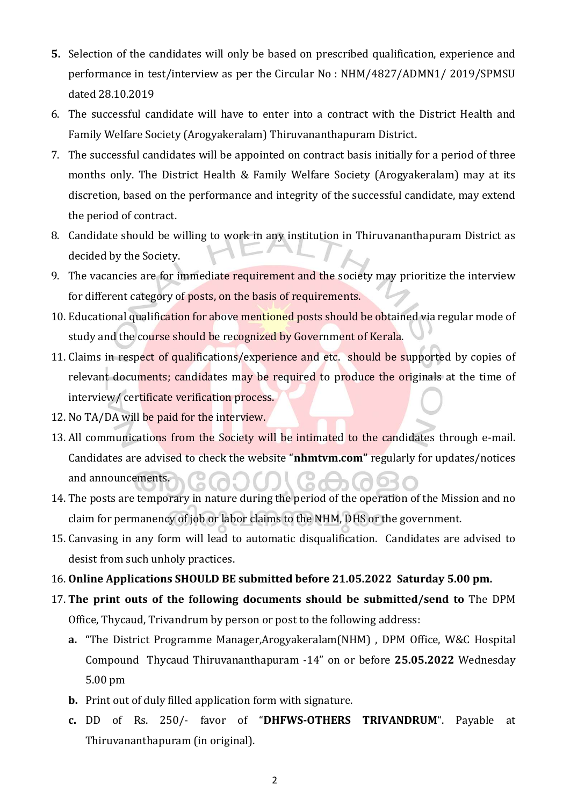- 5. Selection of the candidates will only be based on prescribed qualification, experience and performance in test/interview as per the Circular No : NHM/4827/ADMN1/ 2019/SPMSU dated 28.10.2019
- 6. The successful candidate will have to enter into a contract with the District Health and Family Welfare Society (Arogyakeralam) Thiruvananthapuram District.
- 7. The successful candidates will be appointed on contract basis initially for a period of three months only. The District Health & Family Welfare Society (Arogyakeralam) may at its discretion, based on the performance and integrity of the successful candidate, may extend the period of contract.
- 8. Candidate should be willing to work in any institution in Thiruvananthapuram District as decided by the Society.
- 9. The vacancies are for immediate requirement and the society may prioritize the interview for different category of posts, on the basis of requirements.
- 10. Educational qualification for above mentioned posts should be obtained via regular mode of study and the course should be recognized by Government of Kerala.
- 11. Claims in respect of qualifications/experience and etc. should be supported by copies of relevant documents; candidates may be required to produce the originals at the time of interview/ certificate verification process.
- 12. No TA/DA will be paid for the interview.
- 13. All communications from the Society will be intimated to the candidates through e-mail. Candidates are advised to check the website "nhmtvm.com" regularly for updates/notices and announcements.
- 14. The posts are temporary in nature during the period of the operation of the Mission and no claim for permanency of job or labor claims to the NHM, DHS or the government.
- 15. Canvasing in any form will lead to automatic disqualification. Candidates are advised to desist from such unholy practices.
- 16. Online Applications SHOULD BE submitted before 21.05.2022 Saturday 5.00 pm.
- 17. The print outs of the following documents should be submitted/send to The DPM Office, Thycaud, Trivandrum by person or post to the following address:
	- a. "The District Programme Manager,Arogyakeralam(NHM) , DPM Office, W&C Hospital Compound Thycaud Thiruvananthapuram -14" on or before 25.05.2022 Wednesday 5.00 pm
	- b. Print out of duly filled application form with signature.
	- c. DD of Rs. 250/- favor of "DHFWS-OTHERS TRIVANDRUM". Payable at Thiruvananthapuram (in original).